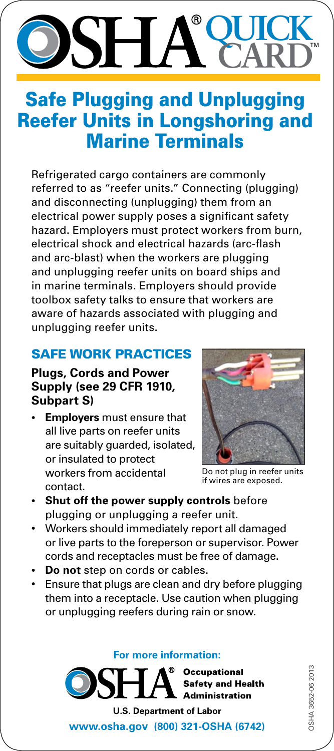### **QUICK** ® SH / **CARD**

## Safe Plugging and Unplugging Reefer Units in Longshoring and Marine Terminals

Refrigerated cargo containers are commonly referred to as "reefer units." Connecting (plugging) and disconnecting (unplugging) them from an electrical power supply poses a significant safety hazard. Employers must protect workers from burn, electrical shock and electrical hazards (arc‑flash and arc-blast) when the workers are plugging and unplugging reefer units on board ships and in marine terminals. Employers should provide toolbox safety talks to ensure that workers are aware of hazards associated with plugging and unplugging reefer units.

#### SAFE WORK PRACTICES

#### **Plugs, Cords and Power Supply (see 29 CFR 1910, Subpart S)**

**Employers** must ensure that all live parts on reefer units are suitably guarded, isolated, or insulated to protect workers from accidental contact.



Do not plug in reefer units if wires are exposed.

- **Shut off the power supply controls** before plugging or unplugging a reefer unit.
- Workers should immediately report all damaged or live parts to the foreperson or supervisor. Power cords and receptacles must be free of damage.
- **Do not** step on cords or cables.
- Ensure that plugs are clean and dry before plugging them into a receptacle. Use caution when plugging or unplugging reefers during rain or snow.

**For more information:**



**<www.osha.gov>(800) 321-OSHA (6742)**